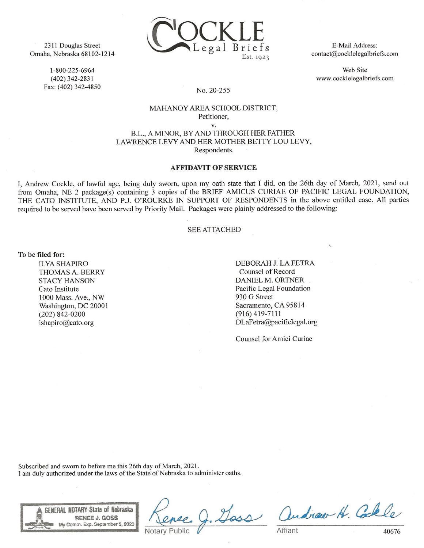

2311 Douglas Street Omaha, Nebraska 68102-1214

> 1-800-225-6964  $(402)$  342-2831 Fax: (402) 342-4850

E-Mail Address: contact@cocklelegalbriefs.com

Web Site www.cocklelegalbriefs.com

## No. 20-255

### MAHANOY AREA SCHOOL DISTRICT, Petitioner,

 $V_{\star}$ 

B.L., A MINOR, BY AND THROUGH HER FATHER LAWRENCE LEVY AND HER MOTHER BETTY LOU LEVY, Respondents.

# **AFFIDAVIT OF SERVICE**

I, Andrew Cockle, of lawful age, being duly sworn, upon my oath state that I did, on the 26th day of March, 2021, send out from Omaha, NE 2 package(s) containing 3 copies of the BRIEF AMICUS CURIAE OF PACIFIC LEGAL FOUNDATION, THE CATO INSTITUTE, AND P.J. O'ROURKE IN SUPPORT OF RESPONDENTS in the above entitled case. All parties required to be served have been served by Priority Mail. Packages were plainly addressed to the following:

### **SEE ATTACHED**

#### To be filed for:

**ILYA SHAPIRO THOMAS A. BERRY STACY HANSON** Cato Institute 1000 Mass. Ave., NW Washington, DC 20001  $(202)$  842-0200 ishapiro@cato.org

DEBORAH J. LA FETRA Counsel of Record DANIEL M. ORTNER Pacific Legal Foundation 930 G Street Sacramento, CA 95814  $(916)$  419-7111 DLaFetra@pacificlegal.org

Counsel for Amici Curiae

Subscribed and sworn to before me this 26th day of March, 2021. I am duly authorized under the laws of the State of Nebraska to administer oaths.



loss andrew H. Colle

40676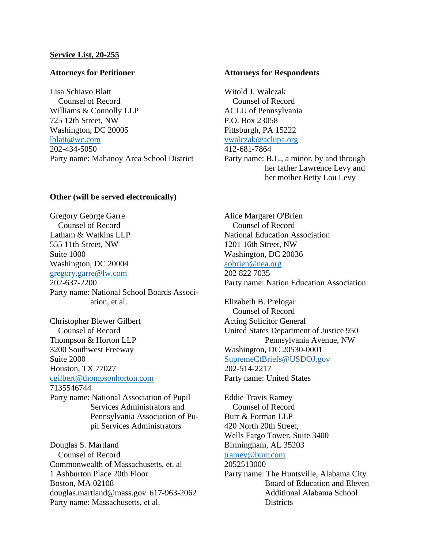## **Service List, 20-255**

## **Attorneys for Petitioner**

Lisa Schiavo Blatt Counsel of Record Williams & Connolly LLP 725 12th Street, NW Washington, DC 20005 [lblatt@wc.com](mailto:lblatt@wc.com) 202-434-5050 Party name: Mahanoy Area School District

### **Attorneys for Respondents**

Witold J. Walczak Counsel of Record ACLU of Pennsylvania P.O. Box 23058 Pittsburgh, PA 15222 [vwalczak@aclupa.org](mailto:vwalczak@aclupa.org) 412-681-7864 Party name: B.L., a minor, by and through her father Lawrence Levy and

## **Other (will be served electronically)**

Gregory George Garre Counsel of Record Latham & Watkins LLP 555 11th Street, NW Suite 1000 Washington, DC 20004 [gregory.garre@lw.com](mailto:gregory.garre@lw.com) 202-637-2200 Party name: National School Boards Association, et al.

Christopher Blewer Gilbert Counsel of Record Thompson & Horton LLP 3200 Southwest Freeway Suite 2000 Houston, TX 77027 [cgilbert@thompsonhorton.com](mailto:cgilbert@thompsonhorton.com) 7135546744 Party name: National Association of Pupil Services Administrators and Pennsylvania Association of Pu-

pil Services Administrators

Douglas S. Martland Counsel of Record Commonwealth of Massachusetts, et. al 1 Ashburton Place 20th Floor Boston, MA 02108 douglas.martland@mass.gov 617-963-2062 Party name: Massachusetts, et al.

Alice Margaret O'Brien Counsel of Record National Education Association 1201 16th Street, NW Washington, DC 20036 [aobrien@nea.org](mailto:aobrien@nea.org) 202 822 7035 Party name: Nation Education Association

her mother Betty Lou Levy

Elizabeth B. Prelogar Counsel of Record Acting Solicitor General United States Department of Justice 950 Pennsylvania Avenue, NW Washington, DC 20530-0001 [SupremeCtBriefs@USDOJ.gov](mailto:SupremeCtBriefs@USDOJ.gov) 202-514-2217 Party name: United States

Eddie Travis Ramey Counsel of Record Burr & Forman LLP 420 North 20th Street, Wells Fargo Tower, Suite 3400 Birmingham, AL 35203 [tramey@burr.com](mailto:tramey@burr.com) 2052513000 Party name: The Huntsville, Alabama City Board of Education and Eleven Additional Alabama School

**Districts**